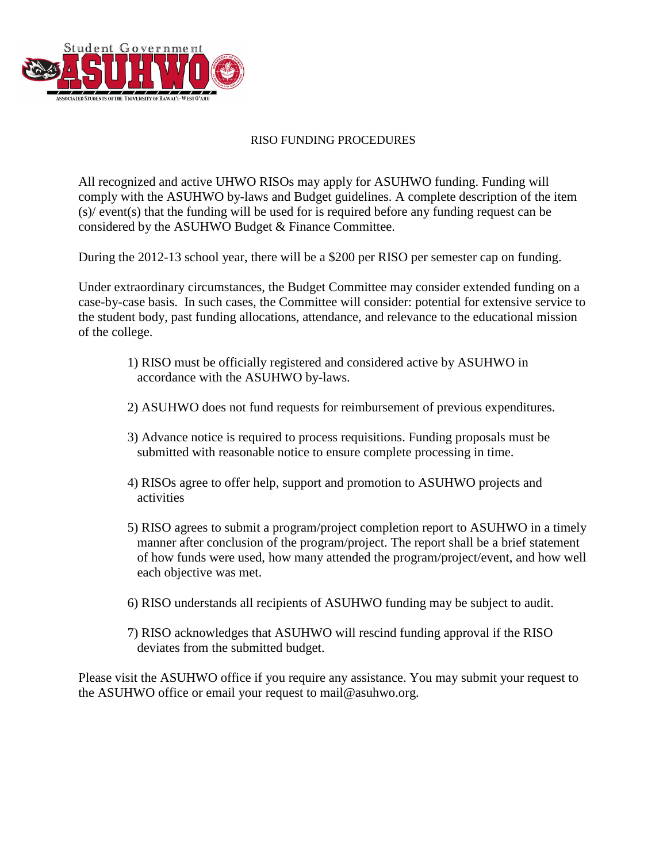

## RISO FUNDING PROCEDURES

All recognized and active UHWO RISOs may apply for ASUHWO funding. Funding will comply with the ASUHWO by-laws and Budget guidelines. A complete description of the item (s)/ event(s) that the funding will be used for is required before any funding request can be considered by the ASUHWO Budget & Finance Committee.

During the 2012-13 school year, there will be a \$200 per RISO per semester cap on funding.

Under extraordinary circumstances, the Budget Committee may consider extended funding on a case-by-case basis. In such cases, the Committee will consider: potential for extensive service to the student body, past funding allocations, attendance, and relevance to the educational mission of the college.

- 1) RISO must be officially registered and considered active by ASUHWO in accordance with the ASUHWO by-laws.
- 2) ASUHWO does not fund requests for reimbursement of previous expenditures.
- 3) Advance notice is required to process requisitions. Funding proposals must be submitted with reasonable notice to ensure complete processing in time.
- 4) RISOs agree to offer help, support and promotion to ASUHWO projects and activities
- 5) RISO agrees to submit a program/project completion report to ASUHWO in a timely manner after conclusion of the program/project. The report shall be a brief statement of how funds were used, how many attended the program/project/event, and how well each objective was met.
- 6) RISO understands all recipients of ASUHWO funding may be subject to audit.
- 7) RISO acknowledges that ASUHWO will rescind funding approval if the RISO deviates from the submitted budget.

Please visit the ASUHWO office if you require any assistance. You may submit your request to the ASUHWO office or email your request to mail@asuhwo.org.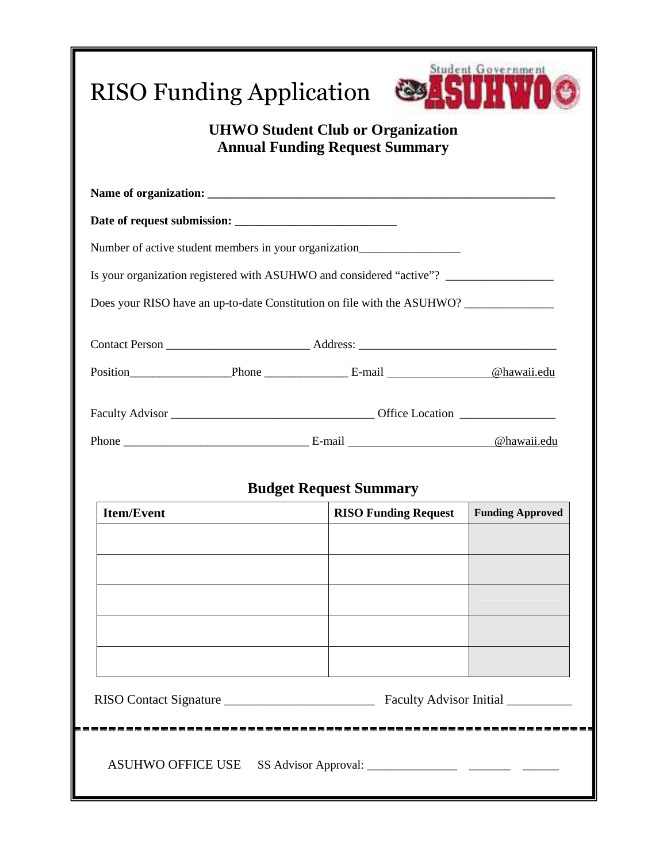| <b>RISO Funding Application</b>                                                   |                               | Student Government      |  |
|-----------------------------------------------------------------------------------|-------------------------------|-------------------------|--|
| <b>UHWO Student Club or Organization</b><br><b>Annual Funding Request Summary</b> |                               |                         |  |
|                                                                                   |                               |                         |  |
|                                                                                   |                               |                         |  |
| Number of active student members in your organization____________________________ |                               |                         |  |
| Is your organization registered with ASUHWO and considered "active"? ____________ |                               |                         |  |
| Does your RISO have an up-to-date Constitution on file with the ASUHWO?           |                               |                         |  |
|                                                                                   |                               |                         |  |
|                                                                                   |                               |                         |  |
|                                                                                   |                               |                         |  |
|                                                                                   |                               |                         |  |
|                                                                                   |                               |                         |  |
|                                                                                   | <b>Budget Request Summary</b> |                         |  |
| <b>Item/Event</b>                                                                 | <b>RISO Funding Request</b>   | <b>Funding Approved</b> |  |
|                                                                                   |                               |                         |  |
|                                                                                   |                               |                         |  |
|                                                                                   |                               |                         |  |
|                                                                                   |                               |                         |  |
|                                                                                   |                               |                         |  |
|                                                                                   |                               |                         |  |
|                                                                                   |                               |                         |  |
|                                                                                   |                               |                         |  |